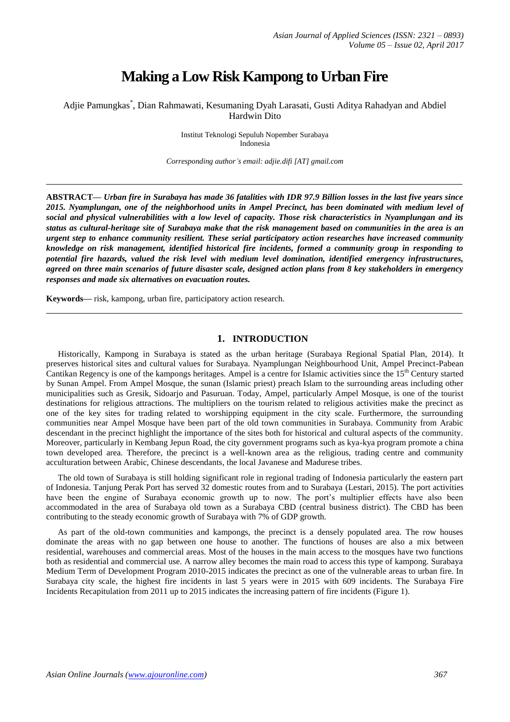# **Making a Low Risk Kampong to Urban Fire**

Adjie Pamungkas\* , Dian Rahmawati, Kesumaning Dyah Larasati, Gusti Aditya Rahadyan and Abdiel Hardwin Dito

> Institut Teknologi Sepuluh Nopember Surabaya Indonesia

*Corresponding author's email: adjie.difi [AT] gmail.com*

**\_\_\_\_\_\_\_\_\_\_\_\_\_\_\_\_\_\_\_\_\_\_\_\_\_\_\_\_\_\_\_\_\_\_\_\_\_\_\_\_\_\_\_\_\_\_\_\_\_\_\_\_\_\_\_\_\_\_\_\_\_\_\_\_\_\_\_\_\_\_\_\_\_\_\_\_\_\_\_\_\_**

**ABSTRACT—** *Urban fire in Surabaya has made 36 fatalities with IDR 97.9 Billion losses in the last five years since 2015. Nyamplungan, one of the neighborhood units in Ampel Precinct, has been dominated with medium level of social and physical vulnerabilities with a low level of capacity. Those risk characteristics in Nyamplungan and its status as cultural-heritage site of Surabaya make that the risk management based on communities in the area is an urgent step to enhance community resilient. These serial participatory action researches have increased community knowledge on risk management, identified historical fire incidents, formed a community group in responding to potential fire hazards, valued the risk level with medium level domination, identified emergency infrastructures, agreed on three main scenarios of future disaster scale, designed action plans from 8 key stakeholders in emergency responses and made six alternatives on evacuation routes.* 

**Keywords—** risk, kampong, urban fire, participatory action research.

## **1. INTRODUCTION**

**\_\_\_\_\_\_\_\_\_\_\_\_\_\_\_\_\_\_\_\_\_\_\_\_\_\_\_\_\_\_\_\_\_\_\_\_\_\_\_\_\_\_\_\_\_\_\_\_\_\_\_\_\_\_\_\_\_\_\_\_\_\_\_\_\_\_\_\_\_\_\_\_\_\_\_\_\_\_\_\_\_**

Historically, Kampong in Surabaya is stated as the urban heritage (Surabaya Regional Spatial Plan, 2014). It preserves historical sites and cultural values for Surabaya. Nyamplungan Neighbourhood Unit, Ampel Precinct-Pabean Cantikan Regency is one of the kampongs heritages. Ampel is a centre for Islamic activities since the 15<sup>th</sup> Century started by Sunan Ampel. From Ampel Mosque, the sunan (Islamic priest) preach Islam to the surrounding areas including other municipalities such as Gresik, Sidoarjo and Pasuruan. Today, Ampel, particularly Ampel Mosque, is one of the tourist destinations for religious attractions. The multipliers on the tourism related to religious activities make the precinct as one of the key sites for trading related to worshipping equipment in the city scale. Furthermore, the surrounding communities near Ampel Mosque have been part of the old town communities in Surabaya. Community from Arabic descendant in the precinct highlight the importance of the sites both for historical and cultural aspects of the community. Moreover, particularly in Kembang Jepun Road, the city government programs such as kya-kya program promote a china town developed area. Therefore, the precinct is a well-known area as the religious, trading centre and community acculturation between Arabic, Chinese descendants, the local Javanese and Madurese tribes.

The old town of Surabaya is still holding significant role in regional trading of Indonesia particularly the eastern part of Indonesia. Tanjung Perak Port has served 32 domestic routes from and to Surabaya (Lestari, 2015). The port activities have been the engine of Surabaya economic growth up to now. The port's multiplier effects have also been accommodated in the area of Surabaya old town as a Surabaya CBD (central business district). The CBD has been contributing to the steady economic growth of Surabaya with 7% of GDP growth.

As part of the old-town communities and kampongs, the precinct is a densely populated area. The row houses dominate the areas with no gap between one house to another. The functions of houses are also a mix between residential, warehouses and commercial areas. Most of the houses in the main access to the mosques have two functions both as residential and commercial use. A narrow alley becomes the main road to access this type of kampong. Surabaya Medium Term of Development Program 2010-2015 indicates the precinct as one of the vulnerable areas to urban fire. In Surabaya city scale, the highest fire incidents in last 5 years were in 2015 with 609 incidents. The Surabaya Fire Incidents Recapitulation from 2011 up to 2015 indicates the increasing pattern of fire incidents (Figure 1).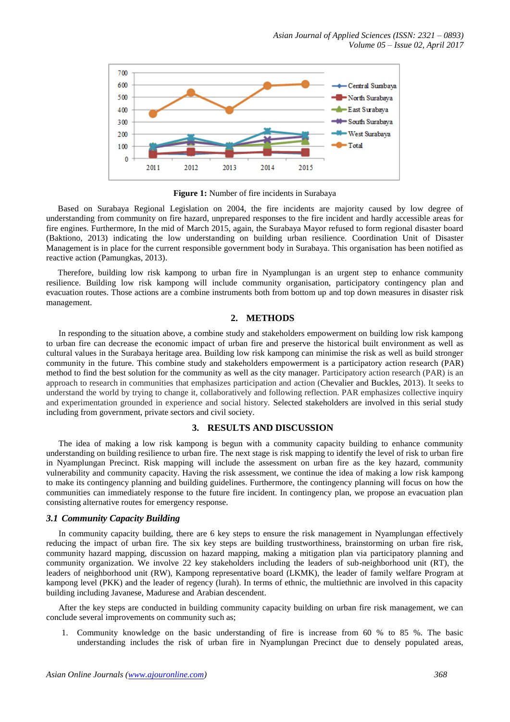

**Figure 1:** Number of fire incidents in Surabaya

Based on Surabaya Regional Legislation on 2004, the fire incidents are majority caused by low degree of understanding from community on fire hazard, unprepared responses to the fire incident and hardly accessible areas for fire engines. Furthermore, In the mid of March 2015, again, the Surabaya Mayor refused to form regional disaster board (Baktiono, 2013) indicating the low understanding on building urban resilience. Coordination Unit of Disaster Management is in place for the current responsible government body in Surabaya. This organisation has been notified as reactive action (Pamungkas, 2013).

Therefore, building low risk kampong to urban fire in Nyamplungan is an urgent step to enhance community resilience. Building low risk kampong will include community organisation, participatory contingency plan and evacuation routes. Those actions are a combine instruments both from bottom up and top down measures in disaster risk management.

## **2. METHODS**

In responding to the situation above, a combine study and stakeholders empowerment on building low risk kampong to urban fire can decrease the economic impact of urban fire and preserve the historical built environment as well as cultural values in the Surabaya heritage area. Building low risk kampong can minimise the risk as well as build stronger community in the future. This combine study and stakeholders empowerment is a participatory action research (PAR) method to find the best solution for the community as well as the city manager. Participatory action research (PAR) is an approach to research in communities that emphasizes participation and action (Chevalier and Buckles, 2013). It seeks to understand the world by trying to change it, collaboratively and following reflection. PAR emphasizes collective inquiry and experimentation grounded in experience and social history. Selected stakeholders are involved in this serial study including from government, private sectors and civil society.

## **3. RESULTS AND DISCUSSION**

The idea of making a low risk kampong is begun with a community capacity building to enhance community understanding on building resilience to urban fire. The next stage is risk mapping to identify the level of risk to urban fire in Nyamplungan Precinct. Risk mapping will include the assessment on urban fire as the key hazard, community vulnerability and community capacity. Having the risk assessment, we continue the idea of making a low risk kampong to make its contingency planning and building guidelines. Furthermore, the contingency planning will focus on how the communities can immediately response to the future fire incident. In contingency plan, we propose an evacuation plan consisting alternative routes for emergency response.

## *3.1 Community Capacity Building*

In community capacity building, there are 6 key steps to ensure the risk management in Nyamplungan effectively reducing the impact of urban fire. The six key steps are building trustworthiness, brainstorming on urban fire risk, community hazard mapping, discussion on hazard mapping, making a mitigation plan via participatory planning and community organization. We involve 22 key stakeholders including the leaders of sub-neighborhood unit (RT), the leaders of neighborhood unit (RW), Kampong representative board (LKMK), the leader of family welfare Program at kampong level (PKK) and the leader of regency (lurah). In terms of ethnic, the multiethnic are involved in this capacity building including Javanese, Madurese and Arabian descendent.

After the key steps are conducted in building community capacity building on urban fire risk management, we can conclude several improvements on community such as;

1. Community knowledge on the basic understanding of fire is increase from 60 % to 85 %. The basic understanding includes the risk of urban fire in Nyamplungan Precinct due to densely populated areas,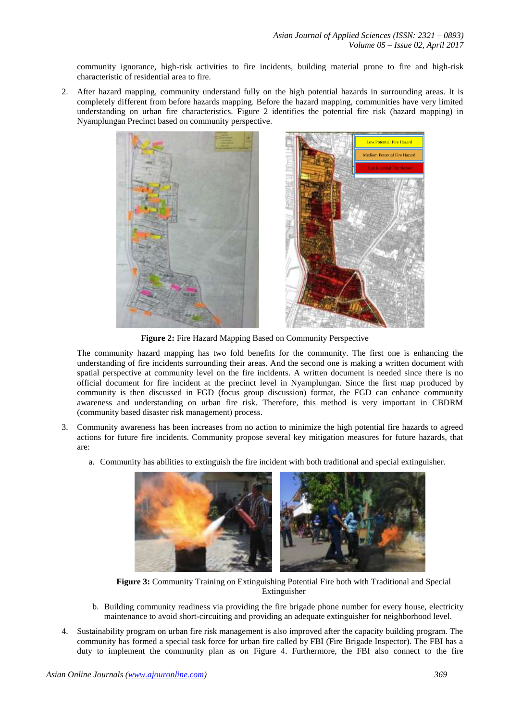community ignorance, high-risk activities to fire incidents, building material prone to fire and high-risk characteristic of residential area to fire.

2. After hazard mapping, community understand fully on the high potential hazards in surrounding areas. It is completely different from before hazards mapping. Before the hazard mapping, communities have very limited understanding on urban fire characteristics. Figure 2 identifies the potential fire risk (hazard mapping) in Nyamplungan Precinct based on community perspective.





**Figure 2:** Fire Hazard Mapping Based on Community Perspective

The community hazard mapping has two fold benefits for the community. The first one is enhancing the understanding of fire incidents surrounding their areas. And the second one is making a written document with spatial perspective at community level on the fire incidents. A written document is needed since there is no official document for fire incident at the precinct level in Nyamplungan. Since the first map produced by community is then discussed in FGD (focus group discussion) format, the FGD can enhance community awareness and understanding on urban fire risk. Therefore, this method is very important in CBDRM (community based disaster risk management) process.

- 3. Community awareness has been increases from no action to minimize the high potential fire hazards to agreed actions for future fire incidents. Community propose several key mitigation measures for future hazards, that are:
	- a. Community has abilities to extinguish the fire incident with both traditional and special extinguisher.



**Figure 3:** Community Training on Extinguishing Potential Fire both with Traditional and Special Extinguisher

- b. Building community readiness via providing the fire brigade phone number for every house, electricity maintenance to avoid short-circuiting and providing an adequate extinguisher for neighborhood level.
- 4. Sustainability program on urban fire risk management is also improved after the capacity building program. The community has formed a special task force for urban fire called by FBI (Fire Brigade Inspector). The FBI has a duty to implement the community plan as on Figure 4. Furthermore, the FBI also connect to the fire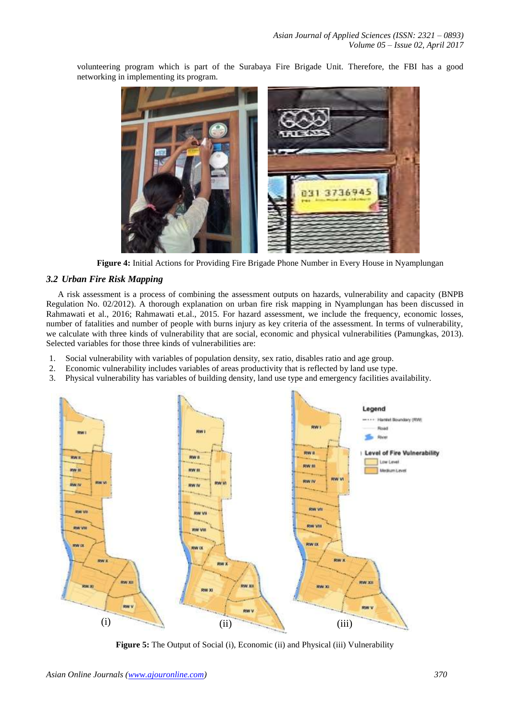3736945

831

networking in implementing its program.

volunteering program which is part of the Surabaya Fire Brigade Unit. Therefore, the FBI has a good



# *3.2 Urban Fire Risk Mapping*

A risk assessment is a process of combining the assessment outputs on hazards, vulnerability and capacity (BNPB Regulation No. 02/2012). A thorough explanation on urban fire risk mapping in Nyamplungan has been discussed in Rahmawati et al., 2016; Rahmawati et.al., 2015. For hazard assessment, we include the frequency, economic losses, number of fatalities and number of people with burns injury as key criteria of the assessment. In terms of vulnerability, we calculate with three kinds of vulnerability that are social, economic and physical vulnerabilities (Pamungkas, 2013). Selected variables for those three kinds of vulnerabilities are:

- 1. Social vulnerability with variables of population density, sex ratio, disables ratio and age group.
- 2. Economic vulnerability includes variables of areas productivity that is reflected by land use type.
- 3. Physical vulnerability has variables of building density, land use type and emergency facilities availability.



**Figure 5:** The Output of Social (i), Economic (ii) and Physical (iii) Vulnerability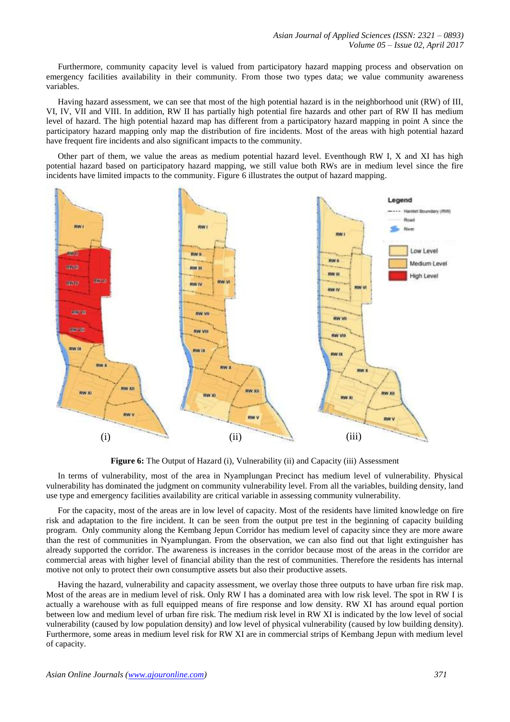Furthermore, community capacity level is valued from participatory hazard mapping process and observation on emergency facilities availability in their community. From those two types data; we value community awareness variables.

Having hazard assessment, we can see that most of the high potential hazard is in the neighborhood unit (RW) of III, VI, IV, VII and VIII. In addition, RW II has partially high potential fire hazards and other part of RW II has medium level of hazard. The high potential hazard map has different from a participatory hazard mapping in point A since the participatory hazard mapping only map the distribution of fire incidents. Most of the areas with high potential hazard have frequent fire incidents and also significant impacts to the community.

Other part of them, we value the areas as medium potential hazard level. Eventhough RW I, X and XI has high potential hazard based on participatory hazard mapping, we still value both RWs are in medium level since the fire incidents have limited impacts to the community. Figure 6 illustrates the output of hazard mapping.



**Figure 6:** The Output of Hazard (i), Vulnerability (ii) and Capacity (iii) Assessment

In terms of vulnerability, most of the area in Nyamplungan Precinct has medium level of vulnerability. Physical vulnerability has dominated the judgment on community vulnerability level. From all the variables, building density, land use type and emergency facilities availability are critical variable in assessing community vulnerability.

For the capacity, most of the areas are in low level of capacity. Most of the residents have limited knowledge on fire risk and adaptation to the fire incident. It can be seen from the output pre test in the beginning of capacity building program. Only community along the Kembang Jepun Corridor has medium level of capacity since they are more aware than the rest of communities in Nyamplungan. From the observation, we can also find out that light extinguisher has already supported the corridor. The awareness is increases in the corridor because most of the areas in the corridor are commercial areas with higher level of financial ability than the rest of communities. Therefore the residents has internal motive not only to protect their own consumptive assets but also their productive assets.

Having the hazard, vulnerability and capacity assessment, we overlay those three outputs to have urban fire risk map. Most of the areas are in medium level of risk. Only RW I has a dominated area with low risk level. The spot in RW I is actually a warehouse with as full equipped means of fire response and low density. RW XI has around equal portion between low and medium level of urban fire risk. The medium risk level in RW XI is indicated by the low level of social vulnerability (caused by low population density) and low level of physical vulnerability (caused by low building density). Furthermore, some areas in medium level risk for RW XI are in commercial strips of Kembang Jepun with medium level of capacity.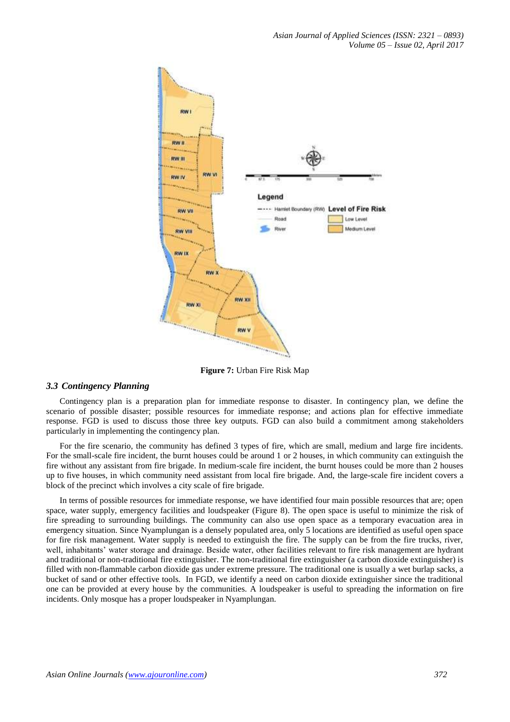

**Figure 7:** Urban Fire Risk Map

# *3.3 Contingency Planning*

Contingency plan is a preparation plan for immediate response to disaster. In contingency plan, we define the scenario of possible disaster; possible resources for immediate response; and actions plan for effective immediate response. FGD is used to discuss those three key outputs. FGD can also build a commitment among stakeholders particularly in implementing the contingency plan.

For the fire scenario, the community has defined 3 types of fire, which are small, medium and large fire incidents. For the small-scale fire incident, the burnt houses could be around 1 or 2 houses, in which community can extinguish the fire without any assistant from fire brigade. In medium-scale fire incident, the burnt houses could be more than 2 houses up to five houses, in which community need assistant from local fire brigade. And, the large-scale fire incident covers a block of the precinct which involves a city scale of fire brigade.

In terms of possible resources for immediate response, we have identified four main possible resources that are; open space, water supply, emergency facilities and loudspeaker (Figure 8). The open space is useful to minimize the risk of fire spreading to surrounding buildings. The community can also use open space as a temporary evacuation area in emergency situation. Since Nyamplungan is a densely populated area, only 5 locations are identified as useful open space for fire risk management. Water supply is needed to extinguish the fire. The supply can be from the fire trucks, river, well, inhabitants' water storage and drainage. Beside water, other facilities relevant to fire risk management are hydrant and traditional or non-traditional fire extinguisher. The non-traditional fire extinguisher (a carbon dioxide extinguisher) is filled with non-flammable carbon dioxide gas under extreme pressure. The traditional one is usually a wet burlap sacks, a bucket of sand or other effective tools. In FGD, we identify a need on carbon dioxide extinguisher since the traditional one can be provided at every house by the communities. A loudspeaker is useful to spreading the information on fire incidents. Only mosque has a proper loudspeaker in Nyamplungan.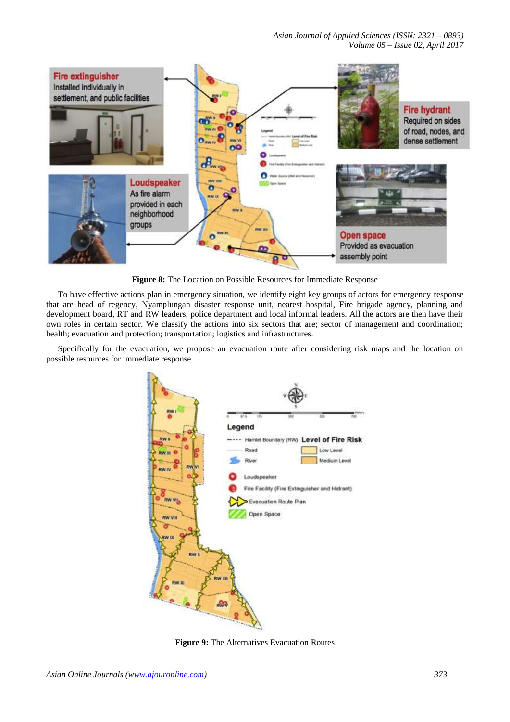*Asian Journal of Applied Sciences (ISSN: 2321 – 0893) Volume 05 – Issue 02, April 2017*



**Figure 8:** The Location on Possible Resources for Immediate Response

To have effective actions plan in emergency situation, we identify eight key groups of actors for emergency response that are head of regency, Nyamplungan disaster response unit, nearest hospital, Fire brigade agency, planning and development board, RT and RW leaders, police department and local informal leaders. All the actors are then have their own roles in certain sector. We classify the actions into six sectors that are; sector of management and coordination; health; evacuation and protection; transportation; logistics and infrastructures.

Specifically for the evacuation, we propose an evacuation route after considering risk maps and the location on possible resources for immediate response.



**Figure 9:** The Alternatives Evacuation Routes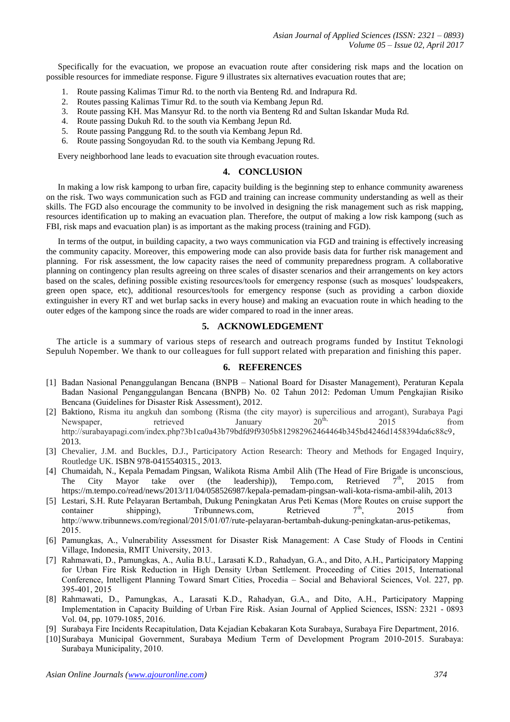*Asian Journal of Applied Sciences (ISSN: 2321 – 0893) Volume 05 – Issue 02, April 2017*

Specifically for the evacuation, we propose an evacuation route after considering risk maps and the location on possible resources for immediate response. Figure 9 illustrates six alternatives evacuation routes that are;

- 1. Route passing Kalimas Timur Rd. to the north via Benteng Rd. and Indrapura Rd.
- 2. Routes passing Kalimas Timur Rd. to the south via Kembang Jepun Rd.
- 3. Route passing KH. Mas Mansyur Rd. to the north via Benteng Rd and Sultan Iskandar Muda Rd.
- 4. Route passing Dukuh Rd. to the south via Kembang Jepun Rd.
- 5. Route passing Panggung Rd. to the south via Kembang Jepun Rd.
- 6. Route passing Songoyudan Rd. to the south via Kembang Jepung Rd.

Every neighborhood lane leads to evacuation site through evacuation routes.

#### **4. CONCLUSION**

In making a low risk kampong to urban fire, capacity building is the beginning step to enhance community awareness on the risk. Two ways communication such as FGD and training can increase community understanding as well as their skills. The FGD also encourage the community to be involved in designing the risk management such as risk mapping, resources identification up to making an evacuation plan. Therefore, the output of making a low risk kampong (such as FBI, risk maps and evacuation plan) is as important as the making process (training and FGD).

In terms of the output, in building capacity, a two ways communication via FGD and training is effectively increasing the community capacity. Moreover, this empowering mode can also provide basis data for further risk management and planning. For risk assessment, the low capacity raises the need of community preparedness program. A collaborative planning on contingency plan results agreeing on three scales of disaster scenarios and their arrangements on key actors based on the scales, defining possible existing resources/tools for emergency response (such as mosques' loudspeakers, green open space, etc), additional resources/tools for emergency response (such as providing a carbon dioxide extinguisher in every RT and wet burlap sacks in every house) and making an evacuation route in which heading to the outer edges of the kampong since the roads are wider compared to road in the inner areas.

## **5. ACKNOWLEDGEMENT**

The article is a summary of various steps of research and outreach programs funded by Institut Teknologi Sepuluh Nopember. We thank to our colleagues for full support related with preparation and finishing this paper.

#### **6. REFERENCES**

- [1] Badan Nasional Penanggulangan Bencana (BNPB National Board for Disaster Management), Peraturan Kepala Badan Nasional Penganggulangan Bencana (BNPB) No. 02 Tahun 2012: Pedoman Umum Pengkajian Risiko Bencana (Guidelines for Disaster Risk Assessment), 2012.
- [2] Baktiono, Risma itu angkuh dan sombong (Risma (the city mayor) is supercilious and arrogant), Surabaya Pagi Newspaper, retrieved January  $20^{\text{th}}$ ,  $2015$  from http://surabayapagi.com/index.php?3b1ca0a43b79bdfd9f9305b812982962464464b345bd4246d1458394da6c88c9, 2013.
- [3] Chevalier, J.M. and Buckles, D.J., Participatory Action Research: Theory and Methods for Engaged Inquiry, Routledge UK. [ISBN 978-0415540315.](https://en.wikipedia.org/wiki/Special:BookSources/9780415540315), 2013.
- [4] Chumaidah, N., Kepala Pemadam Pingsan, Walikota Risma Ambil Alih (The Head of Fire Brigade is unconscious, The City Mayor take over (the leadership)), Tempo.com, Retrieved  $7<sup>th</sup>$ , 2015 from The City Mayor take over (the leadership)), Tempo.com, Retrieved  $7<sup>th</sup>$ , 2015 from [https://m.tempo.co/read/news/2013/11/04/058526987/kepala-pemadam-pingsan-wali-kota-risma-ambil-alih,](https://m.tempo.co/read/news/2013/11/04/058526987/kepala-pemadam-pingsan-wali-kota-risma-ambil-alih) 2013
- [5] Lestari, S.H. Rute Pelayaran Bertambah, Dukung Peningkatan Arus Peti Kemas (More Routes on cruise support the container shipping), Tribunnews.com, Retrieved  $7<sup>th</sup>$ , 2015 from [http://www.tribunnews.com/regional/2015/01/07/rute-pelayaran-bertambah-dukung-peningkatan-arus-petikemas,](http://www.tribunnews.com/regional/2015/01/07/rute-pelayaran-bertambah-dukung-peningkatan-arus-petikemas) 2015.
- [6] Pamungkas, A., Vulnerability Assessment for Disaster Risk Management: A Case Study of Floods in Centini Village, Indonesia, RMIT University, 2013.
- [7] Rahmawati, D., Pamungkas, A., Aulia B.U., Larasati K.D., Rahadyan, G.A., and Dito, A.H., Participatory Mapping for Urban Fire Risk Reduction in High Density Urban Settlement. Proceeding of Cities 2015, International Conference, Intelligent Planning Toward Smart Cities, Procedia – Social and Behavioral Sciences, Vol. 227, pp. 395-401, 2015
- [8] Rahmawati, D., Pamungkas, A., Larasati K.D., Rahadyan, G.A., and Dito, A.H., Participatory Mapping Implementation in Capacity Building of Urban Fire Risk. Asian Journal of Applied Sciences, ISSN: 2321 - 0893 Vol. 04, pp. 1079-1085, 2016.
- [9] Surabaya Fire Incidents Recapitulation, Data Kejadian Kebakaran Kota Surabaya, Surabaya Fire Department, 2016.
- [10]Surabaya Municipal Government, Surabaya Medium Term of Development Program 2010-2015. Surabaya: Surabaya Municipality, 2010.